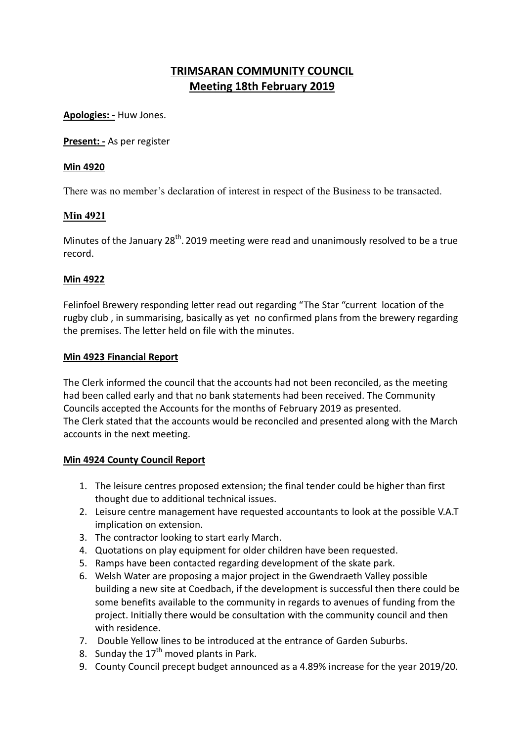# **TRIMSARAN COMMUNITY COUNCIL Meeting 18th February 2019**

**Apologies: -** Huw Jones.

**Present: -** As per register

#### **Min 4920**

There was no member's declaration of interest in respect of the Business to be transacted.

# **Min 4921**

Minutes of the January 28<sup>th</sup>. 2019 meeting were read and unanimously resolved to be a true record.

#### **Min 4922**

Felinfoel Brewery responding letter read out regarding "The Star "current location of the rugby club , in summarising, basically as yet no confirmed plans from the brewery regarding the premises. The letter held on file with the minutes.

#### **Min 4923 Financial Report**

The Clerk informed the council that the accounts had not been reconciled, as the meeting had been called early and that no bank statements had been received. The Community Councils accepted the Accounts for the months of February 2019 as presented. The Clerk stated that the accounts would be reconciled and presented along with the March accounts in the next meeting.

# **Min 4924 County Council Report**

- 1. The leisure centres proposed extension; the final tender could be higher than first thought due to additional technical issues.
- 2. Leisure centre management have requested accountants to look at the possible V.A.T implication on extension.
- 3. The contractor looking to start early March.
- 4. Quotations on play equipment for older children have been requested.
- 5. Ramps have been contacted regarding development of the skate park.
- 6. Welsh Water are proposing a major project in the Gwendraeth Valley possible building a new site at Coedbach, if the development is successful then there could be some benefits available to the community in regards to avenues of funding from the project. Initially there would be consultation with the community council and then with residence.
- 7. Double Yellow lines to be introduced at the entrance of Garden Suburbs.
- 8. Sunday the  $17<sup>th</sup>$  moved plants in Park.
- 9. County Council precept budget announced as a 4.89% increase for the year 2019/20.